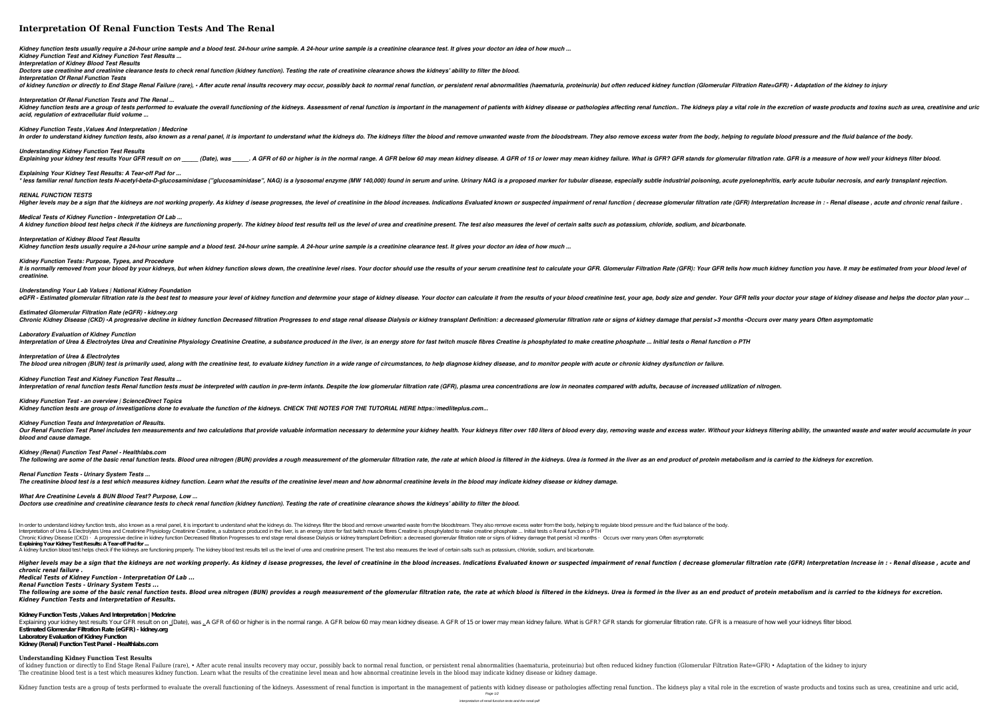# **Interpretation Of Renal Function Tests And The Renal**

*Kidney function tests usually require a 24-hour urine sample and a blood test. 24-hour urine sample. A 24-hour urine sample is a creatinine clearance test. It gives your doctor an idea of how much ... Kidney Function Test and Kidney Function Test Results ...*

*Interpretation of Kidney Blood Test Results*

*Doctors use creatinine and creatinine clearance tests to check renal function (kidney function). Testing the rate of creatinine clearance shows the kidneys' ability to filter the blood. Interpretation Of Renal Function Tests*

of kidney function or directly to End Stage Renal Failure (rare), • After acute renal insults recovery may occur, possibly back to normal renal function, or persistent renal abnormalities (haematuria, proteinuria) but ofte *Interpretation Of Renal Function Tests and The Renal ...*

Kidney function tests are a group of tests performed to evaluate the overall functioning of the kidneys. Assessment of renal function is important in the management of patients with kidneys play a vital role in the excreti *acid, regulation of extracellular fluid volume ...*

*Understanding Kidney Function Test Results* . A GFR of 60 or higher is in the normal range. A GFR stands for glomerular filtration rate. GFR is a measure of how well your kidneys filter blood. *Explaining Your Kidney Test Results: A Tear-off Pad for ...* \* less familiar renal function tests N-acetyl-beta-D-glucosaminidase ("glucosaminidase", NAG) is a lysosomal enzyme (MW 140,000) found in serum and urine. Urinary NAG is a proposed marker for tubular disease, especially su Higher levels may be a sign that the kidneys are not working properly. As kidney d isease progresses, the level of creatinine in the blood increases. Indication rate (GFR) Interpretation Increase in : - Renal disease, acut A kidney function blood test helps check if the kidneys are functioning properly. The kidney blood test results tell us the level of urea and creatinine present. The test also measures the level of certain salts such as po

*Kidney Function Tests ,Values And Interpretation | Medcrine*

In order to understand kidney function tests, also known as a renal panel, it is important to understand what the kidneys do. The kidneys filter the blood and remove unwanted waste from the body, helping to regulate blood *RENAL FUNCTION TESTS Medical Tests of Kidney Function - Interpretation Of Lab ... Interpretation of Kidney Blood Test Results*

*Laboratory Evaluation of Kidney Function* Interpretation of Urea & Electrolytes Urea and Creatinine Physiology Creatinine Creatine, a substance produced in the liver, is an energy store for fast twitch muscle fibres Creatine is phosphylated to make creatine phosph *Interpretation of Urea & Electrolytes* The blood urea nitrogen (BUN) test is primarily used, along with the creatinine test, to evaluate kidney function in a wide range of circumstances, to help diagnose kidney disease, and to monitor people with acute or chron

*Kidney Function Test and Kidney Function Test Results ...* Interpretation of renal function tests Renal function tests must be interpreted with caution in pre-term infants. Despite the low glomerular filtration rate (GFR), plasma urea concentrations are low in neonates compared wi

Our Renal Function Test Panel includes ten measurements and two calculations that provide valuable information necessary to determine your kidneys filters of blood every day, removing waste and excess water. Without your k *blood and cause damage.*

*Kidney function tests usually require a 24-hour urine sample and a blood test. 24-hour urine sample. A 24-hour urine sample is a creatinine clearance test. It gives your doctor an idea of how much ...*

*Kidney Function Tests: Purpose, Types, and Procedure* It is normally removed from your blood by your kidneys, but when kidney function slows down, the creatinine level rises. Your doctor should use the results of your GFR. Glomerular Filtration Rate (GFR): Your GFR tells how *creatinine.*

*Understanding Your Lab Values | National Kidney Foundation*

eGFR - Estimated glomerular filtration rate is the best test to measure your level of kidney function and determine your stage of kidney disease. Your doctor your doctor your stage of kidney disease and helps the doctor pl *Estimated Glomerular Filtration Rate (eGFR) - kidney.org* Chronic Kidney Disease (CKD) •A progressive decline in kidney function Decreased filtration Progresses to end stage renal disease Dialysis or kidney transplant Definition: a decreased glomerular filtration rate or signs of

Higher levels may be a sign that the kidneys are not working properly. As kidney d isease progresses, the level of creatinine in the blood increases. Indications Evaluated known or suspected impairment of renal function ( *chronic renal failure .*

Explaining your kidney test results Your GFR result on on <u>(</u>Date), was \_A GFR of 60 or higher is in the normal range. A GFR below 60 may mean kidney disease. A GFR of 15 or lower may mean kidney failure. What is GFR? GFR **Estimated Glomerular Filtration Rate (eGFR) - kidney.org**

of kidney function or directly to End Stage Renal Failure (rare), • After acute renal insults recovery may occur, possibly back to normal renal abnormalities (haematuria, proteinuria) but often reduced kidney function (Glo The creatinine blood test is a test which measures kidney function. Learn what the results of the creatinine level mean and how abnormal creatinine levels in the blood may indicate kidney disease or kidney damage.

Kidney function tests are a group of tests performed to evaluate the overall functioning of the kidneys. Assessment of renal function is important in the management of patients with kidneys play a vital role in the excreti Page  $1/2$ 

*Kidney Function Test - an overview | ScienceDirect Topics Kidney function tests are group of investigations done to evaluate the function of the kidneys. CHECK THE NOTES FOR THE TUTORIAL HERE https://medliteplus.com...*

*Kidney Function Tests and Interpretation of Results.*

*Kidney (Renal) Function Test Panel - Healthlabs.com*

*Renal Function Tests - Urinary System Tests ... The creatinine blood test is a test which measures kidney function. Learn what the results of the creatinine level mean and how abnormal creatinine levels in the blood may indicate kidney disease or kidney damage.*

*What Are Creatinine Levels & BUN Blood Test? Purpose, Low ... Doctors use creatinine and creatinine clearance tests to check renal function (kidney function). Testing the rate of creatinine clearance shows the kidneys' ability to filter the blood.*

In order to understand kidney function tests, also known as a renal panel, it is important to understand what the kidneys do. The kidneys filter the blood and remove unwanted waste from the bloodstream. They also remove ex Interpretation of Urea & Electrolytes Urea and Creatinine Physiology Creatinine Creatine, a substance produced in the liver, is an energy store for fast twitch muscle fibres Creatine is phosphylated to make creatine phosph Chronic Kidney Disease (CKD) • A progressive decline in kidney function Decreased filtration Progresses to end stage renal disease Dialysis or kidney transplant Definition: a decreased glomerular filtration rate or signs o **Explaining Your Kidney Test Results: A Tear-off Pad for ...** A kidney function blood test helps check if the kidneys are functioning properly. The kidney blood test results tell us the level of urea and creatinine present. The test also measures the level of certain salts such as po

*Medical Tests of Kidney Function - Interpretation Of Lab ...*

*Renal Function Tests - Urinary System Tests ...*

*Kidney Function Tests and Interpretation of Results.*

**Kidney Function Tests ,Values And Interpretation | Medcrine**

**Laboratory Evaluation of Kidney Function**

**Kidney (Renal) Function Test Panel - Healthlabs.com**

### **Understanding Kidney Function Test Results**

interpretation-of-renal-function-tests-and-the-renal-pdf

The following are some of the basic renal function tests. Blood urea nitrogen (BUN) provides a rough measurement of the glomerular filtration rate, the rate at which blood is filtered in the kidneys. Urea is formed in the

## The following are some of the basic renal function tests. Blood urea nitrogen (BUN) provides a rough measurement of the glomerular filtration rate, the rate at which blood is filtered in the liver as an end product of prot